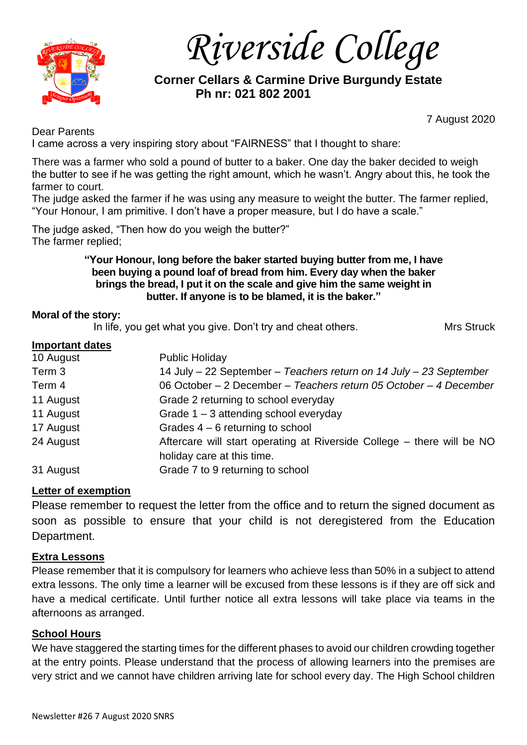

*Riverside College*

 **Corner Cellars & Carmine Drive Burgundy Estate Ph nr: 021 802 2001**

Dear Parents

7 August 2020

I came across a very inspiring story about "FAIRNESS" that I thought to share:

There was a farmer who sold a pound of butter to a baker. One day the baker decided to weigh the butter to see if he was getting the right amount, which he wasn't. Angry about this, he took the farmer to court.

The judge asked the farmer if he was using any measure to weight the butter. The farmer replied, "Your Honour, I am primitive. I don't have a proper measure, but I do have a scale."

The judge asked, "Then how do you weigh the butter?" The farmer replied;

### **"Your Honour, long before the baker started buying butter from me, I have been buying a pound loaf of bread from him. Every day when the baker brings the bread, I put it on the scale and give him the same weight in butter. If anyone is to be blamed, it is the baker."**

### **Moral of the story:**

In life, you get what you give. Don't try and cheat others. Music Mrs Struck

#### **Important dates**

| 10 August | <b>Public Holiday</b>                                                  |
|-----------|------------------------------------------------------------------------|
| Term 3    | 14 July - 22 September - Teachers return on 14 July - 23 September     |
| Term 4    | 06 October - 2 December - Teachers return 05 October - 4 December      |
| 11 August | Grade 2 returning to school everyday                                   |
| 11 August | Grade $1 - 3$ attending school everyday                                |
| 17 August | Grades $4 - 6$ returning to school                                     |
| 24 August | Aftercare will start operating at Riverside College – there will be NO |
|           | holiday care at this time.                                             |
| 31 August | Grade 7 to 9 returning to school                                       |

### **Letter of exemption**

Please remember to request the letter from the office and to return the signed document as soon as possible to ensure that your child is not deregistered from the Education Department.

### **Extra Lessons**

Please remember that it is compulsory for learners who achieve less than 50% in a subject to attend extra lessons. The only time a learner will be excused from these lessons is if they are off sick and have a medical certificate. Until further notice all extra lessons will take place via teams in the afternoons as arranged.

### **School Hours**

We have staggered the starting times for the different phases to avoid our children crowding together at the entry points. Please understand that the process of allowing learners into the premises are very strict and we cannot have children arriving late for school every day. The High School children